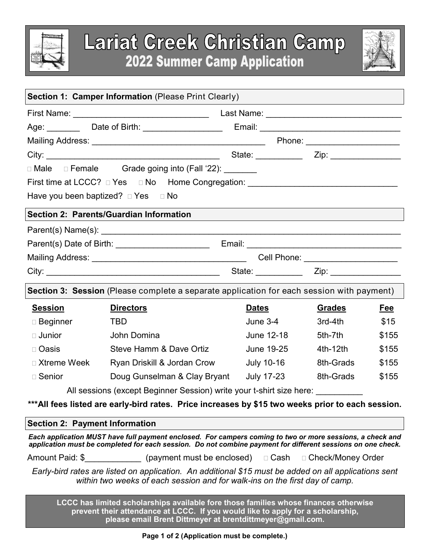



| Section 1: Camper Information (Please Print Clearly)                                                                                                                                                                     |                                                                                      |              |               |       |  |  |  |
|--------------------------------------------------------------------------------------------------------------------------------------------------------------------------------------------------------------------------|--------------------------------------------------------------------------------------|--------------|---------------|-------|--|--|--|
|                                                                                                                                                                                                                          |                                                                                      |              |               |       |  |  |  |
|                                                                                                                                                                                                                          |                                                                                      |              |               |       |  |  |  |
|                                                                                                                                                                                                                          |                                                                                      |              |               |       |  |  |  |
|                                                                                                                                                                                                                          |                                                                                      |              |               |       |  |  |  |
|                                                                                                                                                                                                                          |                                                                                      |              |               |       |  |  |  |
|                                                                                                                                                                                                                          | □ Male □ Female Grade going into (Fall '22): <u>entitled</u>                         |              |               |       |  |  |  |
|                                                                                                                                                                                                                          |                                                                                      |              |               |       |  |  |  |
| Have you been baptized? DYes DNo                                                                                                                                                                                         |                                                                                      |              |               |       |  |  |  |
| Section 2: Parents/Guardian Information                                                                                                                                                                                  |                                                                                      |              |               |       |  |  |  |
|                                                                                                                                                                                                                          |                                                                                      |              |               |       |  |  |  |
|                                                                                                                                                                                                                          |                                                                                      |              |               |       |  |  |  |
|                                                                                                                                                                                                                          |                                                                                      |              |               |       |  |  |  |
|                                                                                                                                                                                                                          |                                                                                      |              |               |       |  |  |  |
| Section 3: Session (Please complete a separate application for each session with payment)                                                                                                                                |                                                                                      |              |               |       |  |  |  |
| <b>Session</b>                                                                                                                                                                                                           | <b>Directors</b>                                                                     | <b>Dates</b> | <b>Grades</b> | Fee   |  |  |  |
| $\square$ Beginner                                                                                                                                                                                                       | <b>TBD</b>                                                                           | June 3-4     | 3rd-4th       | \$15  |  |  |  |
| $\Box$ Junior                                                                                                                                                                                                            | John Domina                                                                          | June 12-18   | 5th-7th       | \$155 |  |  |  |
| □ Oasis                                                                                                                                                                                                                  | Steve Hamm & Dave Ortiz                                                              | June 19-25   | 4th-12th      | \$155 |  |  |  |
| □ Xtreme Week                                                                                                                                                                                                            | Ryan Driskill & Jordan Crow                                                          | July 10-16   | 8th-Grads     | \$155 |  |  |  |
| □ Senior                                                                                                                                                                                                                 | Doug Gunselman & Clay Bryant July 17-23                                              |              | 8th-Grads     | \$155 |  |  |  |
| All sessions (except Beginner Session) write your t-shirt size here: __________                                                                                                                                          |                                                                                      |              |               |       |  |  |  |
| ***All fees listed are early-bird rates. Price increases by \$15 two weeks prior to each session.                                                                                                                        |                                                                                      |              |               |       |  |  |  |
| <b>Section 2: Payment Information</b>                                                                                                                                                                                    |                                                                                      |              |               |       |  |  |  |
| Each application MUST have full payment enclosed. For campers coming to two or more sessions, a check and<br>application must be completed for each session. Do not combine payment for different sessions on one check. |                                                                                      |              |               |       |  |  |  |
|                                                                                                                                                                                                                          | Amount Paid: \$ (payment must be enclosed) □ Cash □ Check/Money Order                |              |               |       |  |  |  |
| Early-bird rates are listed on application. An additional \$15 must be added on all applications sent<br>within two weeks of each session and for walk-ins on the first day of camp.                                     |                                                                                      |              |               |       |  |  |  |
|                                                                                                                                                                                                                          | LCCC has limited scholarships available fore those families whose finances otherwise |              |               |       |  |  |  |

**LCCC has limited scholarships available fore those families whose finances otherwise prevent their attendance at LCCC. If you would like to apply for a scholarship, please email Brent Dittmeyer at brentdittmeyer@gmail.com.**